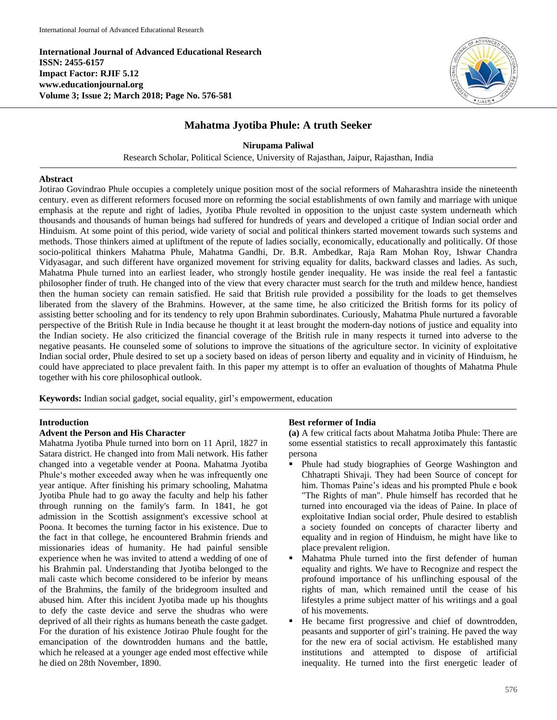**International Journal of Advanced Educational Research ISSN: 2455-6157 Impact Factor: RJIF 5.12 www.educationjournal.org Volume 3; Issue 2; March 2018; Page No. 576-581**



# **Mahatma Jyotiba Phule: A truth Seeker**

**Nirupama Paliwal**

Research Scholar, Political Science, University of Rajasthan, Jaipur, Rajasthan, India

#### **Abstract**

Jotirao Govindrao Phule occupies a completely unique position most of the social reformers of Maharashtra inside the nineteenth century. even as different reformers focused more on reforming the social establishments of own family and marriage with unique emphasis at the repute and right of ladies, Jyotiba Phule revolted in opposition to the unjust caste system underneath which thousands and thousands of human beings had suffered for hundreds of years and developed a critique of Indian social order and Hinduism. At some point of this period, wide variety of social and political thinkers started movement towards such systems and methods. Those thinkers aimed at upliftment of the repute of ladies socially, economically, educationally and politically. Of those socio-political thinkers Mahatma Phule, Mahatma Gandhi, Dr. B.R. Ambedkar, Raja Ram Mohan Roy, Ishwar Chandra Vidyasagar, and such different have organized movement for striving equality for dalits, backward classes and ladies. As such, Mahatma Phule turned into an earliest leader, who strongly hostile gender inequality. He was inside the real feel a fantastic philosopher finder of truth. He changed into of the view that every character must search for the truth and mildew hence, handiest then the human society can remain satisfied. He said that British rule provided a possibility for the loads to get themselves liberated from the slavery of the Brahmins. However, at the same time, he also criticized the British forms for its policy of assisting better schooling and for its tendency to rely upon Brahmin subordinates. Curiously, Mahatma Phule nurtured a favorable perspective of the British Rule in India because he thought it at least brought the modern-day notions of justice and equality into the Indian society. He also criticized the financial coverage of the British rule in many respects it turned into adverse to the negative peasants. He counseled some of solutions to improve the situations of the agriculture sector. In vicinity of exploitative Indian social order, Phule desired to set up a society based on ideas of person liberty and equality and in vicinity of Hinduism, he could have appreciated to place prevalent faith. In this paper my attempt is to offer an evaluation of thoughts of Mahatma Phule together with his core philosophical outlook.

**Keywords:** Indian social gadget, social equality, girl's empowerment, education

#### **Introduction**

#### **Advent the Person and His Character**

Mahatma Jyotiba Phule turned into born on 11 April, 1827 in Satara district. He changed into from Mali network. His father changed into a vegetable vender at Poona. Mahatma Jyotiba Phule's mother exceeded away when he was infrequently one year antique. After finishing his primary schooling, Mahatma Jyotiba Phule had to go away the faculty and help his father through running on the family's farm. In 1841, he got admission in the Scottish assignment's excessive school at Poona. It becomes the turning factor in his existence. Due to the fact in that college, he encountered Brahmin friends and missionaries ideas of humanity. He had painful sensible experience when he was invited to attend a wedding of one of his Brahmin pal. Understanding that Jyotiba belonged to the mali caste which become considered to be inferior by means of the Brahmins, the family of the bridegroom insulted and abused him. After this incident Jyotiba made up his thoughts to defy the caste device and serve the shudras who were deprived of all their rights as humans beneath the caste gadget. For the duration of his existence Jotirao Phule fought for the emancipation of the downtrodden humans and the battle, which he released at a younger age ended most effective while he died on 28th November, 1890.

#### **Best reformer of India**

**(a)** A few critical facts about Mahatma Jotiba Phule: There are some essential statistics to recall approximately this fantastic persona

- Phule had study biographies of George Washington and Chhatrapti Shivaji. They had been Source of concept for him. Thomas Paine's ideas and his prompted Phule e book "The Rights of man". Phule himself has recorded that he turned into encouraged via the ideas of Paine. In place of exploitative Indian social order, Phule desired to establish a society founded on concepts of character liberty and equality and in region of Hinduism, he might have like to place prevalent religion.
- Mahatma Phule turned into the first defender of human equality and rights. We have to Recognize and respect the profound importance of his unflinching espousal of the rights of man, which remained until the cease of his lifestyles a prime subject matter of his writings and a goal of his movements.
- He became first progressive and chief of downtrodden, peasants and supporter of girl's training. He paved the way for the new era of social activism. He established many institutions and attempted to dispose of artificial inequality. He turned into the first energetic leader of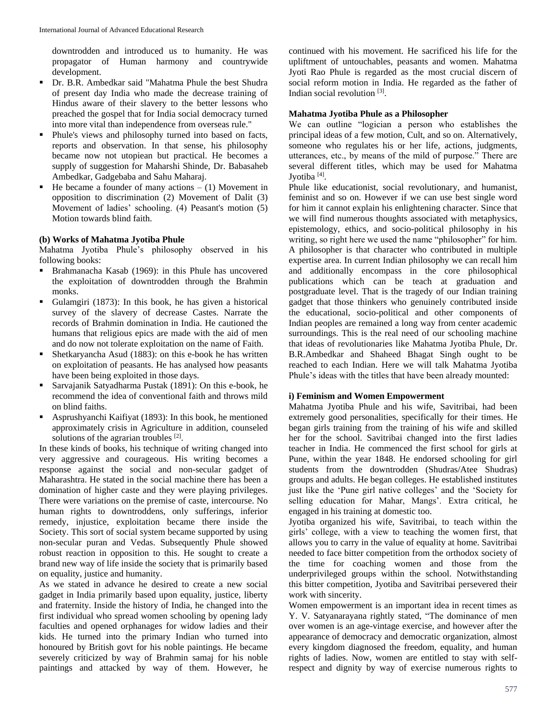downtrodden and introduced us to humanity. He was propagator of Human harmony and countrywide development.

- Dr. B.R. Ambedkar said "Mahatma Phule the best Shudra of present day India who made the decrease training of Hindus aware of their slavery to the better lessons who preached the gospel that for India social democracy turned into more vital than independence from overseas rule."
- Phule's views and philosophy turned into based on facts, reports and observation. In that sense, his philosophy became now not utopiean but practical. He becomes a supply of suggestion for Maharshi Shinde, Dr. Babasaheb Ambedkar, Gadgebaba and Sahu Maharaj.
- He became a founder of many actions  $(1)$  Movement in opposition to discrimination (2) Movement of Dalit (3) Movement of ladies' schooling. (4) Peasant's motion (5) Motion towards blind faith.

## **(b) Works of Mahatma Jyotiba Phule**

Mahatma Jyotiba Phule's philosophy observed in his following books:

- Brahmanacha Kasab (1969): in this Phule has uncovered the exploitation of downtrodden through the Brahmin monks.
- Gulamgiri (1873): In this book, he has given a historical survey of the slavery of decrease Castes. Narrate the records of Brahmin domination in India. He cautioned the humans that religious epics are made with the aid of men and do now not tolerate exploitation on the name of Faith.
- Shetkaryancha Asud (1883): on this e-book he has written on exploitation of peasants. He has analysed how peasants have been being exploited in those days.
- Sarvajanik Satyadharma Pustak (1891): On this e-book, he recommend the idea of conventional faith and throws mild on blind faiths.
- Asprushyanchi Kaifiyat (1893): In this book, he mentioned approximately crisis in Agriculture in addition, counseled solutions of the agrarian troubles  $[2]$ .

In these kinds of books, his technique of writing changed into very aggressive and courageous. His writing becomes a response against the social and non-secular gadget of Maharashtra. He stated in the social machine there has been a domination of higher caste and they were playing privileges. There were variations on the premise of caste, intercourse. No human rights to downtroddens, only sufferings, inferior remedy, injustice, exploitation became there inside the Society. This sort of social system became supported by using non-secular puran and Vedas. Subsequently Phule showed robust reaction in opposition to this. He sought to create a brand new way of life inside the society that is primarily based on equality, justice and humanity.

As we stated in advance he desired to create a new social gadget in India primarily based upon equality, justice, liberty and fraternity. Inside the history of India, he changed into the first individual who spread women schooling by opening lady faculties and opened orphanages for widow ladies and their kids. He turned into the primary Indian who turned into honoured by British govt for his noble paintings. He became severely criticized by way of Brahmin samaj for his noble paintings and attacked by way of them. However, he

continued with his movement. He sacrificed his life for the upliftment of untouchables, peasants and women. Mahatma Jyoti Rao Phule is regarded as the most crucial discern of social reform motion in India. He regarded as the father of Indian social revolution<sup>[3]</sup>.

## **Mahatma Jyotiba Phule as a Philosopher**

We can outline "logician a person who establishes the principal ideas of a few motion, Cult, and so on. Alternatively, someone who regulates his or her life, actions, judgments, utterances, etc., by means of the mild of purpose." There are several different titles, which may be used for Mahatma Jyotiba<sup>[4]</sup>.

Phule like educationist, social revolutionary, and humanist, feminist and so on. However if we can use best single word for him it cannot explain his enlightening character. Since that we will find numerous thoughts associated with metaphysics, epistemology, ethics, and socio-political philosophy in his writing, so right here we used the name "philosopher" for him. A philosopher is that character who contributed in multiple expertise area. In current Indian philosophy we can recall him and additionally encompass in the core philosophical publications which can be teach at graduation and postgraduate level. That is the tragedy of our Indian training gadget that those thinkers who genuinely contributed inside the educational, socio-political and other components of Indian peoples are remained a long way from center academic surroundings. This is the real need of our schooling machine that ideas of revolutionaries like Mahatma Jyotiba Phule, Dr. B.R.Ambedkar and Shaheed Bhagat Singh ought to be reached to each Indian. Here we will talk Mahatma Jyotiba Phule's ideas with the titles that have been already mounted:

## **i) Feminism and Women Empowerment**

Mahatma Jyotiba Phule and his wife, Savitribai, had been extremely good personalities, specifically for their times. He began girls training from the training of his wife and skilled her for the school. Savitribai changed into the first ladies teacher in India. He commenced the first school for girls at Pune, within the year 1848. He endorsed schooling for girl students from the downtrodden (Shudras/Atee Shudras) groups and adults. He began colleges. He established institutes just like the 'Pune girl native colleges' and the 'Society for selling education for Mahar, Mangs'. Extra critical, he engaged in his training at domestic too.

Jyotiba organized his wife, Savitribai, to teach within the girls' college, with a view to teaching the women first, that allows you to carry in the value of equality at home. Savitribai needed to face bitter competition from the orthodox society of the time for coaching women and those from the underprivileged groups within the school. Notwithstanding this bitter competition, Jyotiba and Savitribai persevered their work with sincerity.

Women empowerment is an important idea in recent times as Y. V. Satyanarayana rightly stated, "The dominance of men over women is an age-vintage exercise, and however after the appearance of democracy and democratic organization, almost every kingdom diagnosed the freedom, equality, and human rights of ladies. Now, women are entitled to stay with selfrespect and dignity by way of exercise numerous rights to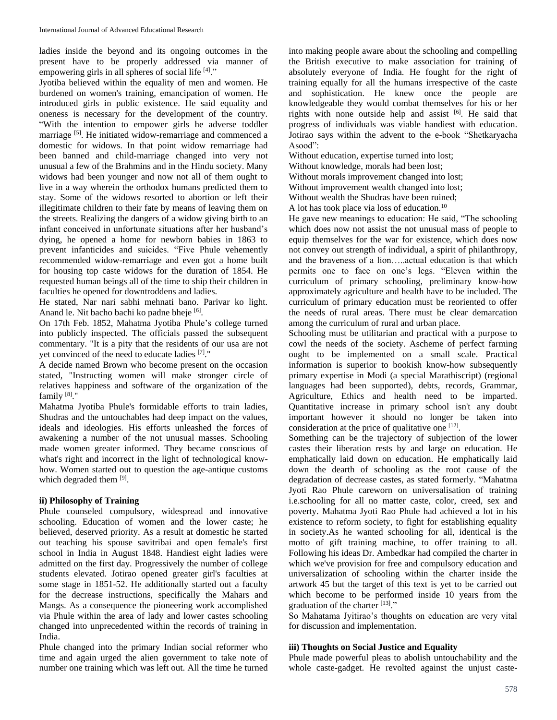ladies inside the beyond and its ongoing outcomes in the present have to be properly addressed via manner of empowering girls in all spheres of social life [4]."

Jyotiba believed within the equality of men and women. He burdened on women's training, emancipation of women. He introduced girls in public existence. He said equality and oneness is necessary for the development of the country. "With the intention to empower girls he adverse toddler marriage [5]. He initiated widow-remarriage and commenced a domestic for widows. In that point widow remarriage had been banned and child-marriage changed into very not unusual a few of the Brahmins and in the Hindu society. Many widows had been younger and now not all of them ought to live in a way wherein the orthodox humans predicted them to stay. Some of the widows resorted to abortion or left their illegitimate children to their fate by means of leaving them on the streets. Realizing the dangers of a widow giving birth to an infant conceived in unfortunate situations after her husband's dying, he opened a home for newborn babies in 1863 to prevent infanticides and suicides. "Five Phule vehemently recommended widow-remarriage and even got a home built for housing top caste widows for the duration of 1854. He requested human beings all of the time to ship their children in faculties he opened for downtroddens and ladies.

He stated, Nar nari sabhi mehnati bano. Parivar ko light. Anand le. Nit bacho bachi ko padne bheje [6].

On 17th Feb. 1852, Mahatma Jyotiba Phule's college turned into publicly inspected. The officials passed the subsequent commentary. "It is a pity that the residents of our usa are not yet convinced of the need to educate ladies [7]."

A decide named Brown who become present on the occasion stated, "Instructing women will make stronger circle of relatives happiness and software of the organization of the family<sup>[8]</sup>."

Mahatma Jyotiba Phule's formidable efforts to train ladies, Shudras and the untouchables had deep impact on the values, ideals and ideologies. His efforts unleashed the forces of awakening a number of the not unusual masses. Schooling made women greater informed. They became conscious of what's right and incorrect in the light of technological knowhow. Women started out to question the age-antique customs which degraded them [9].

## **ii) Philosophy of Training**

Phule counseled compulsory, widespread and innovative schooling. Education of women and the lower caste; he believed, deserved priority. As a result at domestic he started out teaching his spouse savitribai and open female's first school in India in August 1848. Handiest eight ladies were admitted on the first day. Progressively the number of college students elevated. Jotirao opened greater girl's faculties at some stage in 1851-52. He additionally started out a faculty for the decrease instructions, specifically the Mahars and Mangs. As a consequence the pioneering work accomplished via Phule within the area of lady and lower castes schooling changed into unprecedented within the records of training in India.

Phule changed into the primary Indian social reformer who time and again urged the alien government to take note of number one training which was left out. All the time he turned

into making people aware about the schooling and compelling the British executive to make association for training of absolutely everyone of India. He fought for the right of training equally for all the humans irrespective of the caste and sophistication. He knew once the people are knowledgeable they would combat themselves for his or her rights with none outside help and assist [6]. He said that progress of individuals was viable handiest with education. Jotirao says within the advent to the e-book "Shetkaryacha Asood":

Without education, expertise turned into lost;

Without knowledge, morals had been lost;

Without morals improvement changed into lost;

Without improvement wealth changed into lost;

Without wealth the Shudras have been ruined;

A lot has took place via loss of education.<sup>10</sup>

He gave new meanings to education: He said, "The schooling which does now not assist the not unusual mass of people to equip themselves for the war for existence, which does now not convey out strength of individual, a spirit of philanthropy, and the braveness of a lion…..actual education is that which permits one to face on one's legs. "Eleven within the curriculum of primary schooling, preliminary know-how approximately agriculture and health have to be included. The curriculum of primary education must be reoriented to offer the needs of rural areas. There must be clear demarcation among the curriculum of rural and urban place.

Schooling must be utilitarian and practical with a purpose to cowl the needs of the society. Ascheme of perfect farming ought to be implemented on a small scale. Practical information is superior to bookish know-how subsequently primary expertise in Modi (a special Marathiscript) (regional languages had been supported), debts, records, Grammar, Agriculture, Ethics and health need to be imparted. Quantitative increase in primary school isn't any doubt important however it should no longer be taken into consideration at the price of qualitative one [12].

Something can be the trajectory of subjection of the lower castes their liberation rests by and large on education. He emphatically laid down on education. He emphatically laid down the dearth of schooling as the root cause of the degradation of decrease castes, as stated formerly. "Mahatma Jyoti Rao Phule careworn on universalisation of training i.e.schooling for all no matter caste, color, creed, sex and poverty. Mahatma Jyoti Rao Phule had achieved a lot in his existence to reform society, to fight for establishing equality in society.As he wanted schooling for all, identical is the motto of gift training machine, to offer training to all. Following his ideas Dr. Ambedkar had compiled the charter in which we've provision for free and compulsory education and universalization of schooling within the charter inside the artwork 45 but the target of this text is yet to be carried out which become to be performed inside 10 years from the graduation of the charter [13]."

So Mahatama Jyitirao's thoughts on education are very vital for discussion and implementation.

#### **iii) Thoughts on Social Justice and Equality**

Phule made powerful pleas to abolish untouchability and the whole caste-gadget. He revolted against the unjust caste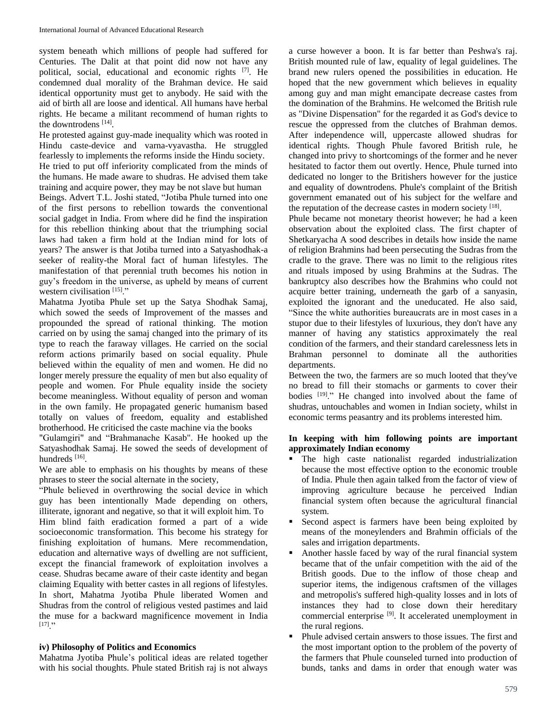system beneath which millions of people had suffered for Centuries. The Dalit at that point did now not have any political, social, educational and economic rights [7] . He condemned dual morality of the Brahman device. He said identical opportunity must get to anybody. He said with the aid of birth all are loose and identical. All humans have herbal rights. He became a militant recommend of human rights to the downtrodens<sup>[14]</sup>.

He protested against guy-made inequality which was rooted in Hindu caste-device and varna-vyavastha. He struggled fearlessly to implements the reforms inside the Hindu society. He tried to put off inferiority complicated from the minds of the humans. He made aware to shudras. He advised them take training and acquire power, they may be not slave but human Beings. Advert T.L. Joshi stated, "Jotiba Phule turned into one of the first persons to rebellion towards the conventional social gadget in India. From where did he find the inspiration for this rebellion thinking about that the triumphing social laws had taken a firm hold at the Indian mind for lots of years? The answer is that Jotiba turned into a Satyashodhak-a seeker of reality-the Moral fact of human lifestyles. The manifestation of that perennial truth becomes his notion in guy's freedom in the universe, as upheld by means of current western civilisation<sup>[15]</sup>."

Mahatma Jyotiba Phule set up the Satya Shodhak Samaj, which sowed the seeds of Improvement of the masses and propounded the spread of rational thinking. The motion carried on by using the samaj changed into the primary of its type to reach the faraway villages. He carried on the social reform actions primarily based on social equality. Phule believed within the equality of men and women. He did no longer merely pressure the equality of men but also equality of people and women. For Phule equality inside the society become meaningless. Without equality of person and woman in the own family. He propagated generic humanism based totally on values of freedom, equality and established brotherhood. He criticised the caste machine via the books

"Gulamgiri" and "Brahmanache Kasab". He hooked up the Satyashodhak Samaj. He sowed the seeds of development of hundreds [16].

We are able to emphasis on his thoughts by means of these phrases to steer the social alternate in the society,

"Phule believed in overthrowing the social device in which guy has been intentionally Made depending on others, illiterate, ignorant and negative, so that it will exploit him. To Him blind faith eradication formed a part of a wide socioeconomic transformation. This become his strategy for finishing exploitation of humans. Mere recommendation, education and alternative ways of dwelling are not sufficient, except the financial framework of exploitation involves a cease. Shudras became aware of their caste identity and began claiming Equality with better castes in all regions of lifestyles. In short, Mahatma Jyotiba Phule liberated Women and Shudras from the control of religious vested pastimes and laid the muse for a backward magnificence movement in India  $[17]$  "

## **iv) Philosophy of Politics and Economics**

Mahatma Jyotiba Phule's political ideas are related together with his social thoughts. Phule stated British raj is not always

a curse however a boon. It is far better than Peshwa's raj. British mounted rule of law, equality of legal guidelines. The brand new rulers opened the possibilities in education. He hoped that the new government which believes in equality among guy and man might emancipate decrease castes from the domination of the Brahmins. He welcomed the British rule as "Divine Dispensation" for the regarded it as God's device to rescue the oppressed from the clutches of Brahman demos. After independence will, uppercaste allowed shudras for identical rights. Though Phule favored British rule, he changed into privy to shortcomings of the former and he never hesitated to factor them out overtly. Hence, Phule turned into dedicated no longer to the Britishers however for the justice and equality of downtrodens. Phule's complaint of the British government emanated out of his subject for the welfare and the reputation of the decrease castes in modern society [18].

Phule became not monetary theorist however; he had a keen observation about the exploited class. The first chapter of Shetkaryacha A sood describes in details how inside the name of religion Brahmins had been persecuting the Sudras from the cradle to the grave. There was no limit to the religious rites and rituals imposed by using Brahmins at the Sudras. The bankruptcy also describes how the Brahmins who could not acquire better training, underneath the garb of a sanyasin, exploited the ignorant and the uneducated. He also said, "Since the white authorities bureaucrats are in most cases in a stupor due to their lifestyles of luxurious, they don't have any manner of having any statistics approximately the real condition of the farmers, and their standard carelessness lets in Brahman personnel to dominate all the authorities departments.

Between the two, the farmers are so much looted that they've no bread to fill their stomachs or garments to cover their bodies <sup>[19]</sup>." He changed into involved about the fame of shudras, untouchables and women in Indian society, whilst in economic terms peasantry and its problems interested him.

## **In keeping with him following points are important approximately Indian economy**

- The high caste nationalist regarded industrialization because the most effective option to the economic trouble of India. Phule then again talked from the factor of view of improving agriculture because he perceived Indian financial system often because the agricultural financial system.
- Second aspect is farmers have been being exploited by means of the moneylenders and Brahmin officials of the sales and irrigation departments.
- Another hassle faced by way of the rural financial system became that of the unfair competition with the aid of the British goods. Due to the inflow of those cheap and superior items, the indigenous craftsmen of the villages and metropolis's suffered high-quality losses and in lots of instances they had to close down their hereditary commercial enterprise <sup>[9]</sup>. It accelerated unemployment in the rural regions.
- Phule advised certain answers to those issues. The first and the most important option to the problem of the poverty of the farmers that Phule counseled turned into production of bunds, tanks and dams in order that enough water was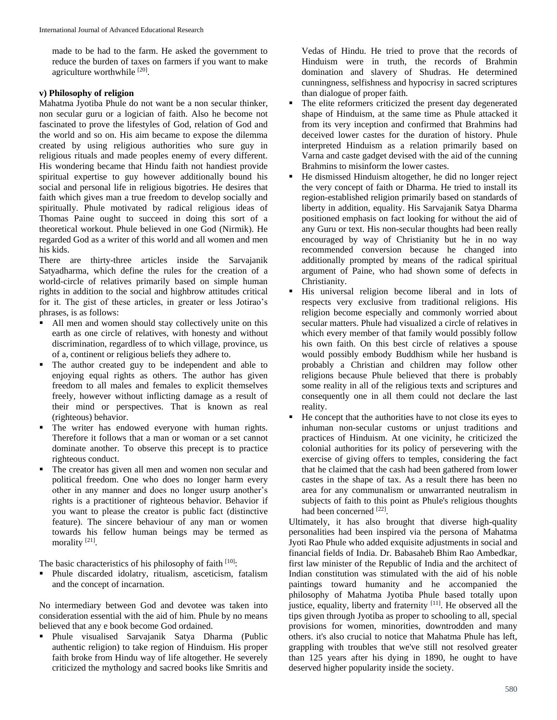made to be had to the farm. He asked the government to reduce the burden of taxes on farmers if you want to make agriculture worthwhile [20].

## **v) Philosophy of religion**

Mahatma Jyotiba Phule do not want be a non secular thinker, non secular guru or a logician of faith. Also he become not fascinated to prove the lifestyles of God, relation of God and the world and so on. His aim became to expose the dilemma created by using religious authorities who sure guy in religious rituals and made peoples enemy of every different. His wondering became that Hindu faith not handiest provide spiritual expertise to guy however additionally bound his social and personal life in religious bigotries. He desires that faith which gives man a true freedom to develop socially and spiritually. Phule motivated by radical religious ideas of Thomas Paine ought to succeed in doing this sort of a theoretical workout. Phule believed in one God (Nirmik). He regarded God as a writer of this world and all women and men his kids.

There are thirty-three articles inside the Sarvajanik Satyadharma, which define the rules for the creation of a world-circle of relatives primarily based on simple human rights in addition to the social and highbrow attitudes critical for it. The gist of these articles, in greater or less Jotirao's phrases, is as follows:

- All men and women should stay collectively unite on this earth as one circle of relatives, with honesty and without discrimination, regardless of to which village, province, us of a, continent or religious beliefs they adhere to.
- The author created guy to be independent and able to enjoying equal rights as others. The author has given freedom to all males and females to explicit themselves freely, however without inflicting damage as a result of their mind or perspectives. That is known as real (righteous) behavior.
- The writer has endowed everyone with human rights. Therefore it follows that a man or woman or a set cannot dominate another. To observe this precept is to practice righteous conduct.
- The creator has given all men and women non secular and political freedom. One who does no longer harm every other in any manner and does no longer usurp another's rights is a practitioner of righteous behavior. Behavior if you want to please the creator is public fact (distinctive feature). The sincere behaviour of any man or women towards his fellow human beings may be termed as morality<sup>[21]</sup>.

The basic characteristics of his philosophy of faith  $[10]$ :

 Phule discarded idolatry, ritualism, asceticism, fatalism and the concept of incarnation.

No intermediary between God and devotee was taken into consideration essential with the aid of him. Phule by no means believed that any e book become God ordained.

 Phule visualised Sarvajanik Satya Dharma (Public authentic religion) to take region of Hinduism. His proper faith broke from Hindu way of life altogether. He severely criticized the mythology and sacred books like Smritis and

Vedas of Hindu. He tried to prove that the records of Hinduism were in truth, the records of Brahmin domination and slavery of Shudras. He determined cunningness, selfishness and hypocrisy in sacred scriptures than dialogue of proper faith.

- The elite reformers criticized the present day degenerated shape of Hinduism, at the same time as Phule attacked it from its very inception and confirmed that Brahmins had deceived lower castes for the duration of history. Phule interpreted Hinduism as a relation primarily based on Varna and caste gadget devised with the aid of the cunning Brahmins to misinform the lower castes.
- He dismissed Hinduism altogether, he did no longer reject the very concept of faith or Dharma. He tried to install its region-established religion primarily based on standards of liberty in addition, equality. His Sarvajanik Satya Dharma positioned emphasis on fact looking for without the aid of any Guru or text. His non-secular thoughts had been really encouraged by way of Christianity but he in no way recommended conversion because he changed into additionally prompted by means of the radical spiritual argument of Paine, who had shown some of defects in Christianity.
- His universal religion become liberal and in lots of respects very exclusive from traditional religions. His religion become especially and commonly worried about secular matters. Phule had visualized a circle of relatives in which every member of that family would possibly follow his own faith. On this best circle of relatives a spouse would possibly embody Buddhism while her husband is probably a Christian and children may follow other religions because Phule believed that there is probably some reality in all of the religious texts and scriptures and consequently one in all them could not declare the last reality.
- He concept that the authorities have to not close its eyes to inhuman non-secular customs or unjust traditions and practices of Hinduism. At one vicinity, he criticized the colonial authorities for its policy of persevering with the exercise of giving offers to temples, considering the fact that he claimed that the cash had been gathered from lower castes in the shape of tax. As a result there has been no area for any communalism or unwarranted neutralism in subjects of faith to this point as Phule's religious thoughts had been concerned [22].

Ultimately, it has also brought that diverse high-quality personalities had been inspired via the persona of Mahatma Jyoti Rao Phule who added exquisite adjustments in social and financial fields of India. Dr. Babasaheb Bhim Rao Ambedkar, first law minister of the Republic of India and the architect of Indian constitution was stimulated with the aid of his noble paintings toward humanity and he accompanied the philosophy of Mahatma Jyotiba Phule based totally upon justice, equality, liberty and fraternity [11]. He observed all the tips given through Jyotiba as proper to schooling to all, special provisions for women, minorities, downtrodden and many others. it's also crucial to notice that Mahatma Phule has left, grappling with troubles that we've still not resolved greater than 125 years after his dying in 1890, he ought to have deserved higher popularity inside the society.